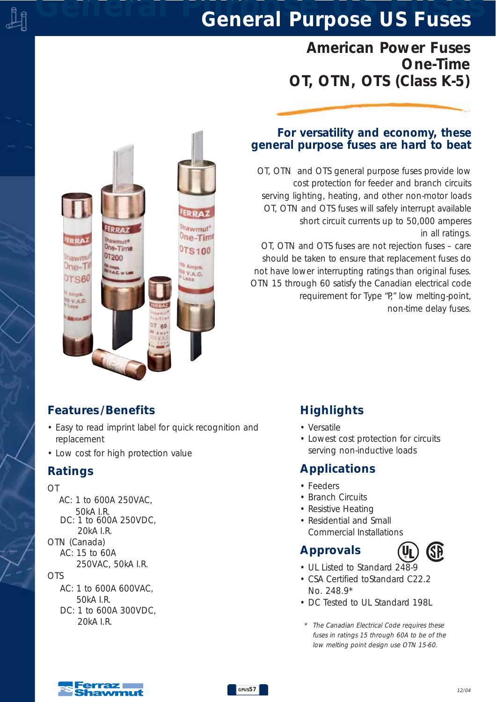# *General Purpose US Fuses General Purpose US Fuses*

# *American Power Fuses One-Time OT, OTN, OTS (Class K-5)*

#### *For versatility and economy, these general purpose fuses are hard to beat*

*OT, OTN and OTS general purpose fuses provide low cost protection for feeder and branch circuits serving lighting, heating, and other non-motor loads OT, OTN and OTS fuses will safely interrupt available short circuit currents up to 50,000 amperes in all ratings.* 

*OT, OTN and OTS fuses are not rejection fuses – care should be taken to ensure that replacement fuses do not have lower interrupting ratings than original fuses. OTN 15 through 60 satisfy the Canadian electrical code requirement for Type "P," low melting-point, non-time delay fuses.*



### *Features /Benefits*

- *Easy to read imprint label for quick recognition and replacement*
- *Low cost for high protection value*

### *Ratings*

- *OT*
	- *AC: 1 to 600A 250VAC, 50kA I.R. DC: 1 to 600A 250VDC, 20kA I.R.*
- *OTN (Canada)*
- *AC: 15 to 60A*
	- *250VAC, 50kA I.R.*

*OTS*

- *AC: 1 to 600A 600VAC, 50kA I.R. DC: 1 to 600A 300VDC,*
	- *20kA I.R.*

# *Highlights*

- *Versatile*
- *Lowest cost protection for circuits serving non-inductive loads*

# *Applications*

- *Feeders*
- *Branch Circuits*
- *Resistive Heating*
- *Residential and Small Commercial Installations*

# *Approvals*



- *UL Listed to Standard 248-9*
- *CSA Certified toStandard C22.2 No. 248.9\**
- *DC Tested to UL Standard 198L*
- *\* The Canadian Electrical Code requires these fuses in ratings 15 through 60A to be of the low melting point design use OTN 15-60.*

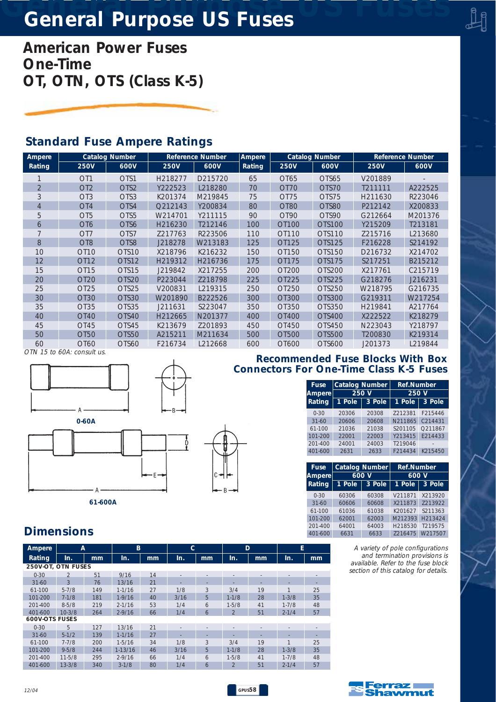# *General Purpose US Fuses General Purpose US Fuses*

*American Power Fuses One-Time OT, OTN, OTS (Class K-5)*

## *Standard Fuse Ampere Ratings*

| Ampere         | <b>Catalog Number</b> |                   | <b>Reference Number</b> |         | <b>Ampere</b> | <b>Catalog Number</b> |               | <b>Reference Number</b> |         |
|----------------|-----------------------|-------------------|-------------------------|---------|---------------|-----------------------|---------------|-------------------------|---------|
| Rating         | <b>250V</b>           | 600V              | <b>250V</b>             | 600V    | Rating        | <b>250V</b>           | 600V          | <b>250V</b>             | 600V    |
|                | OT <sub>1</sub>       | OTS1              | H218277                 | D215720 | 65            | OT65                  | OTS65         | V201889                 |         |
| $\overline{2}$ | OT <sub>2</sub>       | OTS <sub>2</sub>  | Y222523                 | L218280 | 70            | OT70                  | OTS70         | T211111                 | A222525 |
| 3              | OT <sub>3</sub>       | OTS3              | K201374                 | M219845 | 75            | OT <sub>75</sub>      | OTS75         | H211630                 | R223046 |
| 4              | OT <sub>4</sub>       | OTS4              | Q212143                 | Y200834 | 80            | OT <sub>80</sub>      | OTS80         | P212142                 | X200833 |
| 5              | OT <sub>5</sub>       | OTS <sub>5</sub>  | W214701                 | Y211115 | 90            | OT90                  | OTS90         | G212664                 | M201376 |
| 6              | OT <sub>6</sub>       | OTS6              | H216230                 | T212146 | 100           | OT100                 | OTS100        | Y215209                 | T213181 |
|                | OT <sub>7</sub>       | OTS7              | Z217763                 | R223506 | 110           | OT110                 | OTS110        | Z215716                 | L213680 |
| 8              | OT <sub>8</sub>       | OTS8              | J218278                 | W213183 | 125           | OT125                 | OTS125        | F216228                 | S214192 |
| 10             | OT <sub>10</sub>      | OTS <sub>10</sub> | X218796                 | K216232 | 150           | OT150                 | OTS150        | D216732                 | X214702 |
| 12             | OT12                  | OTS12             | H219312                 | H216736 | 175           | OT175                 | OTS175        | S217251                 | B215212 |
| 15             | OT <sub>15</sub>      | OTS15             | J219842                 | X217255 | 200           | OT200                 | OTS200        | X217761                 | C215719 |
| 20             | OT <sub>20</sub>      | OTS20             | P223044                 | Z218798 | 225           | OT225                 | OTS225        | G218276                 | J216231 |
| 25             | OT <sub>25</sub>      | OTS25             | V200831                 | L219315 | 250           | OT250                 | OTS250        | W218795                 | G216735 |
| 30             | OT30                  | OTS30             | W201890                 | B222526 | 300           | OT300                 | <b>OTS300</b> | G219311                 | W217254 |
| 35             | OT35                  | OTS35             | J211631                 | S223047 | 350           | OT350                 | OTS350        | H219841                 | A217764 |
| 40             | OT40                  | OTS40             | H212665                 | N201377 | 400           | OT400                 | OTS400        | X222522                 | K218279 |
| 45             | OT <sub>45</sub>      | OTS45             | K213679                 | Z201893 | 450           | OT450                 | OTS450        | N223043                 | Y218797 |
| 50             | OT50                  | OTS50             | A215211                 | M211634 | 500           | OT500                 | OTS500        | T200830                 | K219314 |
| 60             | OT60                  | OTS60             | F216734                 | L212668 | 600           | OT600                 | OTS600        | J201373                 | L219844 |

*OTN 15 to 60A: consult us.*



*61-600A*

A



*GPUS58*

#### *Recommended Fuse Blocks With Box Connectors For One-Time Class K-5 Fuses*

| <b>Fuse</b>   | <b>Catalog Number</b> |       | <b>Ref.Number</b><br>250 V |         |  |  |
|---------------|-----------------------|-------|----------------------------|---------|--|--|
| <b>Ampere</b> | 250                   | 'V    |                            |         |  |  |
| Rating        | $1$ Pole<br>3 Pole    |       | 1 Pole                     | 3 Pole  |  |  |
| $0 - 30$      | 20306                 | 20308 | 7212381                    | F215446 |  |  |
| $31 - 60$     | 20606                 | 20608 | N211865                    | C214431 |  |  |
| $61-100$      | 21036                 | 21038 | S201105                    | O211867 |  |  |
| 101-200       | 22001                 | 22003 | Y213415                    | F214433 |  |  |
| $201 - 400$   | 24001                 | 24003 | T219046                    |         |  |  |
| 401-600       | 2631                  | 2633  | F214434                    | K215450 |  |  |

| <b>Fuse</b> |        | <b>Catalog Number</b> | <b>Ref.Number</b><br>600 V |         |  |  |  |  |
|-------------|--------|-----------------------|----------------------------|---------|--|--|--|--|
| Ampere      |        | 600 V                 |                            |         |  |  |  |  |
| Rating      | 1 Pole | 3 Pole                | 1 Pole                     | 3 Pole  |  |  |  |  |
| $0 - 30$    | 60306  | 60308                 | V211871                    | X213920 |  |  |  |  |
| $31 - 60$   | 60606  | 60608                 | X211873                    | Z213922 |  |  |  |  |
| 61-100      | 61036  | 61038                 | K201627                    | S211363 |  |  |  |  |
| 101-200     | 62001  | 62003                 | M212393                    | H213424 |  |  |  |  |
| $201 - 400$ | 64001  | 64003                 | H218530                    | T219575 |  |  |  |  |
| 401-600     | 6631   | 6633                  | Z216475                    | W217507 |  |  |  |  |

*A variety of pole configurations and termination provisions is available. Refer to the fuse block section of this catalog for details.*

# *Dimensions*

| Ampere                | A              |     | B          |    | C    |    | D              |    | E         |    |
|-----------------------|----------------|-----|------------|----|------|----|----------------|----|-----------|----|
| Rating                | In.            | mm  | In.        | mm | In.  | mm | In.            | mm | In.       | mm |
| 250V-OT, OTN FUSES    |                |     |            |    |      |    |                |    |           |    |
| $0 - 30$              | $\mathfrak{D}$ | 51  | 9/16       | 14 |      |    |                |    |           |    |
| $31 - 60$             | 3              | 76  | 13/16      | 21 |      |    |                |    |           |    |
| 61-100                | $5 - 7/8$      | 149 | $1 - 1/16$ | 27 | 1/8  | 3  | 3/4            | 19 |           | 25 |
| 101-200               | $7 - 1/8$      | 181 | $1-9/16$   | 40 | 3/16 | 5  | $1 - 1/8$      | 28 | $1 - 3/8$ | 35 |
| $201 - 400$           | $8 - 5/8$      | 219 | $2 - 1/16$ | 53 | 1/4  | 6  | $1 - 5/8$      | 41 | $1 - 7/8$ | 48 |
| 401-600               | $10-3/8$       | 264 | $2 - 9/16$ | 66 | 1/4  | 6  | $\mathfrak{D}$ | 51 | $2 - 1/4$ | 57 |
| <b>600V-OTS FUSES</b> |                |     |            |    |      |    |                |    |           |    |
| $0 - 30$              | 5              | 127 | 13/16      | 21 |      |    |                |    |           |    |
| $31 - 60$             | $5-1/2$        | 139 | $1 - 1/16$ | 27 |      |    |                |    |           |    |
| 61-100                | $7 - 7/8$      | 200 | $1 - 5/16$ | 34 | 1/8  | 3  | 3/4            | 19 |           | 25 |
| 101-200               | $9 - 5/8$      | 244 | $1-13/16$  | 46 | 3/16 | 5  | $1 - 1/8$      | 28 | $1 - 3/8$ | 35 |
| $201 - 400$           | $11 - 5/8$     | 295 | $2 - 9/16$ | 66 | 1/4  | 6  | $1 - 5/8$      | 41 | $1 - 7/8$ | 48 |
| 401-600               | $13 - 3/8$     | 340 | $3 - 1/8$  | 80 | 1/4  | 6  | $\overline{2}$ | 51 | $2 - 1/4$ | 57 |